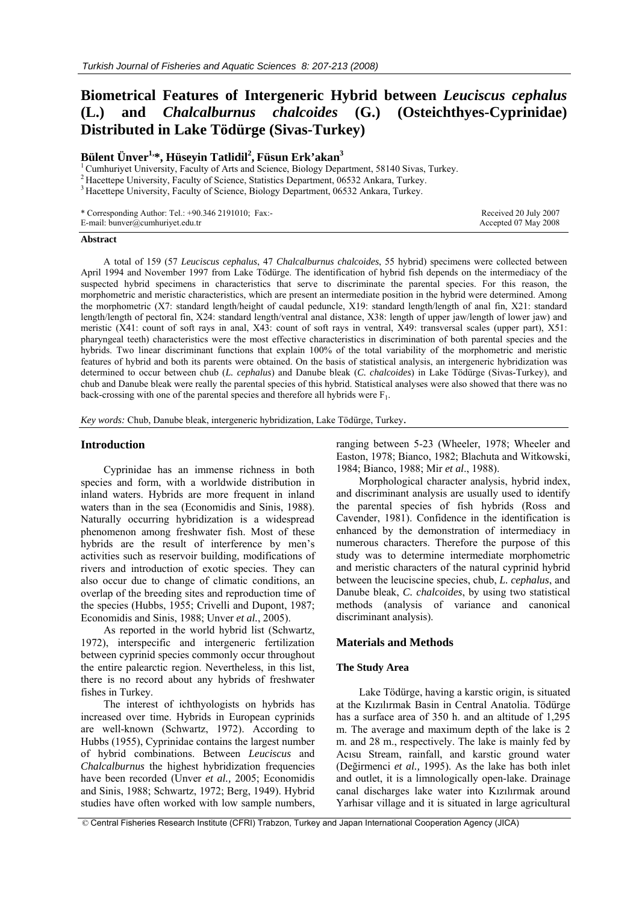# **Biometrical Features of Intergeneric Hybrid between** *Leuciscus cephalus*  **(L.) and** *Chalcalburnus chalcoides* **(G.) (Osteichthyes-Cyprinidae) Distributed in Lake Tödürge (Sivas-Turkey)**

# **Bülent Ünver1,\*, Hüseyin Tatlidil2 , Füsun Erk'akan<sup>3</sup>**

<sup>1</sup> Cumhuriyet University, Faculty of Arts and Science, Biology Department, 58140 Sivas, Turkey.  $2$  Hacettepe University, Faculty of Science, Statistics Department, 06532 Ankara, Turkey.

<sup>3</sup> Hacettepe University, Faculty of Science, Biology Department, 06532 Ankara, Turkey.

| * Corresponding Author: Tel.: +90.346 2191010; Fax:- |  |
|------------------------------------------------------|--|
| E-mail: bunver@cumhuriyet.edu.tr                     |  |

#### **Abstract**

A total of 159 (57 *Leuciscus cephalus*, 47 *Chalcalburnus chalcoides*, 55 hybrid) specimens were collected between April 1994 and November 1997 from Lake Tödürge. The identification of hybrid fish depends on the intermediacy of the suspected hybrid specimens in characteristics that serve to discriminate the parental species. For this reason, the morphometric and meristic characteristics, which are present an intermediate position in the hybrid were determined. Among the morphometric (X7: standard length/height of caudal peduncle, X19: standard length/length of anal fin, X21: standard length/length of pectoral fin, X24: standard length/ventral anal distance, X38: length of upper jaw/length of lower jaw) and meristic (X41: count of soft rays in anal, X43: count of soft rays in ventral, X49: transversal scales (upper part), X51: pharyngeal teeth) characteristics were the most effective characteristics in discrimination of both parental species and the hybrids. Two linear discriminant functions that explain 100% of the total variability of the morphometric and meristic features of hybrid and both its parents were obtained. On the basis of statistical analysis, an intergeneric hybridization was determined to occur between chub (*L. cephalus*) and Danube bleak (*C. chalcoides*) in Lake Tödürge (Sivas-Turkey), and chub and Danube bleak were really the parental species of this hybrid. Statistical analyses were also showed that there was no back-crossing with one of the parental species and therefore all hybrids were  $F_1$ .

*Key words:* Chub, Danube bleak, intergeneric hybridization, Lake Tödürge, Turkey.

#### **Introduction**

Cyprinidae has an immense richness in both species and form, with a worldwide distribution in inland waters. Hybrids are more frequent in inland waters than in the sea (Economidis and Sinis, 1988). Naturally occurring hybridization is a widespread phenomenon among freshwater fish. Most of these hybrids are the result of interference by men's activities such as reservoir building, modifications of rivers and introduction of exotic species. They can also occur due to change of climatic conditions, an overlap of the breeding sites and reproduction time of the species (Hubbs, 1955; Crivelli and Dupont, 1987; Economidis and Sinis, 1988; Unver *et al.*, 2005).

As reported in the world hybrid list (Schwartz, 1972), interspecific and intergeneric fertilization between cyprinid species commonly occur throughout the entire palearctic region. Nevertheless, in this list, there is no record about any hybrids of freshwater fishes in Turkey.

The interest of ichthyologists on hybrids has increased over time. Hybrids in European cyprinids are well-known (Schwartz, 1972). According to Hubbs (1955), Cyprinidae contains the largest number of hybrid combinations. Between *Leuciscus* and *Chalcalburnus* the highest hybridization frequencies have been recorded (Unver *et al.,* 2005; Economidis and Sinis, 1988; Schwartz, 1972; Berg, 1949). Hybrid studies have often worked with low sample numbers, ranging between 5-23 (Wheeler, 1978; Wheeler and Easton, 1978; Bianco, 1982; Blachuta and Witkowski, 1984; Bianco, 1988; Mir *et al*., 1988).

 Received 20 July 2007 Accepted 07 May 2008

Morphological character analysis, hybrid index, and discriminant analysis are usually used to identify the parental species of fish hybrids (Ross and Cavender, 1981). Confidence in the identification is enhanced by the demonstration of intermediacy in numerous characters. Therefore the purpose of this study was to determine intermediate morphometric and meristic characters of the natural cyprinid hybrid between the leuciscine species, chub, *L. cephalus*, and Danube bleak, *C. chalcoides*, by using two statistical methods (analysis of variance and canonical discriminant analysis).

## **Materials and Methods**

#### **The Study Area**

Lake Tödürge, having a karstic origin, is situated at the Kızılırmak Basin in Central Anatolia. Tödürge has a surface area of 350 h. and an altitude of 1,295 m. The average and maximum depth of the lake is 2 m. and 28 m., respectively. The lake is mainly fed by Acısu Stream, rainfall, and karstic ground water (Değirmenci *et al.,* 1995). As the lake has both inlet and outlet, it is a limnologically open-lake. Drainage canal discharges lake water into Kızılırmak around Yarhisar village and it is situated in large agricultural

© Central Fisheries Research Institute (CFRI) Trabzon, Turkey and Japan International Cooperation Agency (JICA)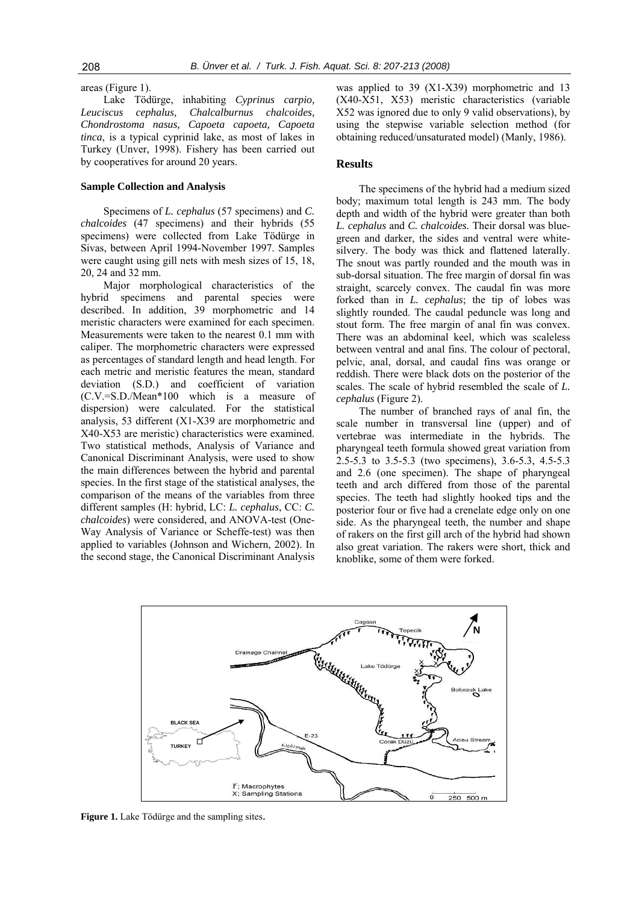areas (Figure 1). Lake Tödürge, inhabiting *Cyprinus carpio, Leuciscus cephalus, Chalcalburnus chalcoides, Chondrostoma nasus, Capoeta capoeta, Capoeta tinca*, is a typical cyprinid lake, as most of lakes in Turkey (Unver, 1998). Fishery has been carried out by cooperatives for around 20 years.

#### **Sample Collection and Analysis**

Specimens of *L. cephalus* (57 specimens) and *C. chalcoides* (47 specimens) and their hybrids (55 specimens) were collected from Lake Tödürge in Sivas, between April 1994-November 1997. Samples were caught using gill nets with mesh sizes of 15, 18, 20, 24 and 32 mm.

Major morphological characteristics of the hybrid specimens and parental species were described. In addition, 39 morphometric and 14 meristic characters were examined for each specimen. Measurements were taken to the nearest 0.1 mm with caliper. The morphometric characters were expressed as percentages of standard length and head length. For each metric and meristic features the mean, standard deviation (S.D.) and coefficient of variation (C.V.=S.D./Mean\*100 which is a measure of dispersion) were calculated. For the statistical analysis, 53 different (X1-X39 are morphometric and X40-X53 are meristic) characteristics were examined. Two statistical methods, Analysis of Variance and Canonical Discriminant Analysis, were used to show the main differences between the hybrid and parental species. In the first stage of the statistical analyses, the comparison of the means of the variables from three different samples (H: hybrid, LC: *L. cephalus*, CC: *C. chalcoides*) were considered, and ANOVA-test (One-Way Analysis of Variance or Scheffe-test) was then applied to variables (Johnson and Wichern, 2002). In the second stage, the Canonical Discriminant Analysis

was applied to 39 (X1-X39) morphometric and 13 (X40-X51, X53) meristic characteristics (variable X52 was ignored due to only 9 valid observations), by using the stepwise variable selection method (for obtaining reduced/unsaturated model) (Manly, 1986).

#### **Results**

The specimens of the hybrid had a medium sized body; maximum total length is 243 mm. The body depth and width of the hybrid were greater than both *L. cephalus* and *C. chalcoides.* Their dorsal was bluegreen and darker, the sides and ventral were whitesilvery. The body was thick and flattened laterally. The snout was partly rounded and the mouth was in sub-dorsal situation. The free margin of dorsal fin was straight, scarcely convex. The caudal fin was more forked than in *L. cephalus*; the tip of lobes was slightly rounded. The caudal peduncle was long and stout form. The free margin of anal fin was convex. There was an abdominal keel, which was scaleless between ventral and anal fins. The colour of pectoral, pelvic, anal, dorsal, and caudal fins was orange or reddish. There were black dots on the posterior of the scales. The scale of hybrid resembled the scale of *L. cephalus* (Figure 2).

The number of branched rays of anal fin, the scale number in transversal line (upper) and of vertebrae was intermediate in the hybrids. The pharyngeal teeth formula showed great variation from 2.5-5.3 to 3.5-5.3 (two specimens), 3.6-5.3, 4.5-5.3 and 2.6 (one specimen). The shape of pharyngeal teeth and arch differed from those of the parental species. The teeth had slightly hooked tips and the posterior four or five had a crenelate edge only on one side. As the pharyngeal teeth, the number and shape of rakers on the first gill arch of the hybrid had shown also great variation. The rakers were short, thick and knoblike, some of them were forked.



**Figure 1.** Lake Tödürge and the sampling sites.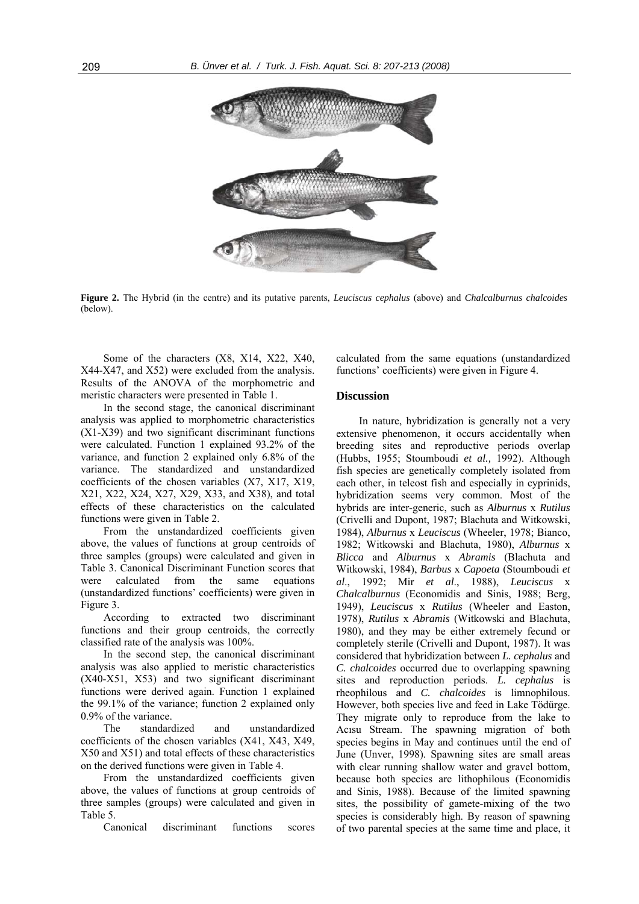

**Figure 2.** The Hybrid (in the centre) and its putative parents, *Leuciscus cephalus* (above) and *Chalcalburnus chalcoides* (below).

Some of the characters (X8, X14, X22, X40, X44-X47, and X52) were excluded from the analysis. Results of the ANOVA of the morphometric and meristic characters were presented in Table 1.

In the second stage, the canonical discriminant analysis was applied to morphometric characteristics (X1-X39) and two significant discriminant functions were calculated. Function 1 explained 93.2% of the variance, and function 2 explained only 6.8% of the variance. The standardized and unstandardized coefficients of the chosen variables (X7, X17, X19, X21, X22, X24, X27, X29, X33, and X38), and total effects of these characteristics on the calculated functions were given in Table 2.

From the unstandardized coefficients given above, the values of functions at group centroids of three samples (groups) were calculated and given in Table 3. Canonical Discriminant Function scores that were calculated from the same equations (unstandardized functions' coefficients) were given in Figure 3.

According to extracted two discriminant functions and their group centroids, the correctly classified rate of the analysis was 100%.

In the second step, the canonical discriminant analysis was also applied to meristic characteristics (X40-X51, X53) and two significant discriminant functions were derived again. Function 1 explained the 99.1% of the variance; function 2 explained only 0.9% of the variance.

The standardized and unstandardized coefficients of the chosen variables (X41, X43, X49, X50 and X51) and total effects of these characteristics on the derived functions were given in Table 4.

From the unstandardized coefficients given above, the values of functions at group centroids of three samples (groups) were calculated and given in Table 5.

Canonical discriminant functions scores

calculated from the same equations (unstandardized functions' coefficients) were given in Figure 4.

### **Discussion**

In nature, hybridization is generally not a very extensive phenomenon, it occurs accidentally when breeding sites and reproductive periods overlap (Hubbs, 1955; Stoumboudi *et al.,* 1992). Although fish species are genetically completely isolated from each other, in teleost fish and especially in cyprinids, hybridization seems very common. Most of the hybrids are inter-generic, such as *Alburnus* x *Rutilus* (Crivelli and Dupont, 1987; Blachuta and Witkowski, 1984), *Alburnus* x *Leuciscus* (Wheeler, 1978; Bianco, 1982; Witkowski and Blachuta, 1980), *Alburnus* x *Blicca* and *Alburnus* x *Abramis* (Blachuta and Witkowski, 1984), *Barbus* x *Capoeta* (Stoumboudi *et al*., 1992; Mir *et al*., 1988), *Leuciscus* x *Chalcalburnus* (Economidis and Sinis, 1988; Berg, 1949), *Leuciscus* x *Rutilus* (Wheeler and Easton, 1978), *Rutilus* x *Abramis* (Witkowski and Blachuta, 1980), and they may be either extremely fecund or completely sterile (Crivelli and Dupont, 1987). It was considered that hybridization between *L. cephalus* and *C. chalcoides* occurred due to overlapping spawning sites and reproduction periods. *L. cephalus* is rheophilous and *C. chalcoides* is limnophilous. However, both species live and feed in Lake Tödürge. They migrate only to reproduce from the lake to Acısu Stream. The spawning migration of both species begins in May and continues until the end of June (Unver, 1998). Spawning sites are small areas with clear running shallow water and gravel bottom, because both species are lithophilous (Economidis and Sinis, 1988). Because of the limited spawning sites, the possibility of gamete-mixing of the two species is considerably high. By reason of spawning of two parental species at the same time and place, it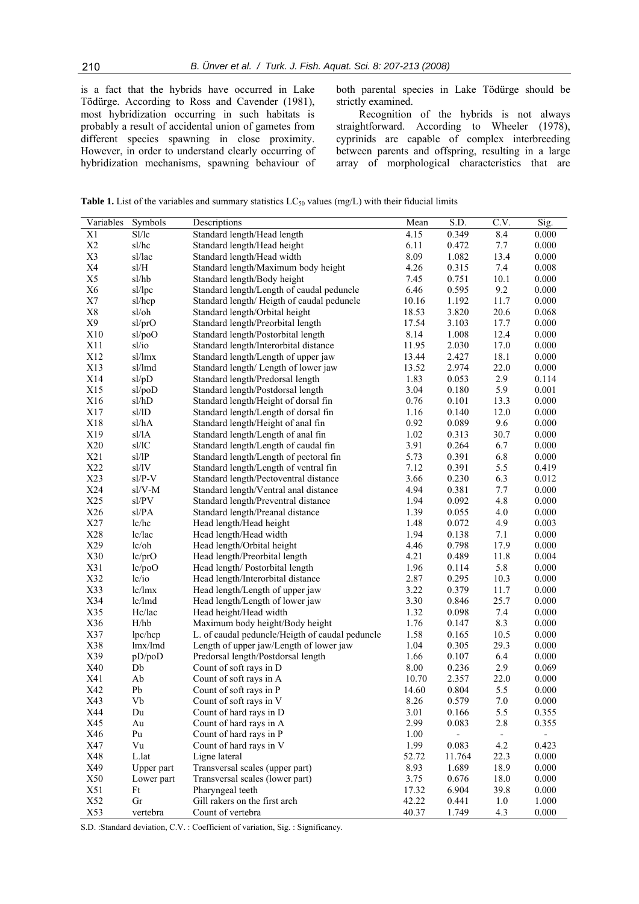is a fact that the hybrids have occurred in Lake Tödürge. According to Ross and Cavender (1981), most hybridization occurring in such habitats is probably a result of accidental union of gametes from different species spawning in close proximity. However, in order to understand clearly occurring of hybridization mechanisms, spawning behaviour of both parental species in Lake Tödürge should be strictly examined.

Recognition of the hybrids is not always straightforward. According to Wheeler  $(1978)$ , cyprinids are capable of complex interbreeding between parents and offspring, resulting in a large array of morphological characteristics that are

**Table 1.** List of the variables and summary statistics  $LC_{50}$  values (mg/L) with their fiducial limits

| Variables      | Symbols                                            | Descriptions                                    | Mean  | S.D.   | C.V.  | Sig.  |
|----------------|----------------------------------------------------|-------------------------------------------------|-------|--------|-------|-------|
| X1             | Sl/lc                                              | Standard length/Head length                     |       | 0.349  | 8.4   | 0.000 |
| X2             | sl/hc                                              | Standard length/Head height                     |       | 0.472  | 7.7   | 0.000 |
| X3             | sl/lac                                             | Standard length/Head width                      | 8.09  | 1.082  | 13.4  | 0.000 |
| X4             | $\ensuremath{\mathrm{sl}}/\ensuremath{\mathrm{H}}$ | Standard length/Maximum body height             | 4.26  | 0.315  | $7.4$ | 0.008 |
| X5             | sl/hb                                              | Standard length/Body height                     | 7.45  | 0.751  | 10.1  | 0.000 |
| X <sub>6</sub> | sl/lpc                                             | Standard length/Length of caudal peduncle       | 6.46  | 0.595  | 9.2   | 0.000 |
| X7             | sl/hcp                                             | Standard length/Heigth of caudal peduncle       | 10.16 | 1.192  | 11.7  | 0.000 |
| X8             | sl/oh                                              | Standard length/Orbital height                  | 18.53 | 3.820  | 20.6  | 0.068 |
| X9             | sl/prO                                             | Standard length/Preorbital length               | 17.54 | 3.103  | 17.7  | 0.000 |
| X10            | sl/poO                                             | Standard length/Postorbital length              | 8.14  | 1.008  | 12.4  | 0.000 |
| X11            | $s$ l/io                                           | Standard length/Interorbital distance           | 11.95 | 2.030  | 17.0  | 0.000 |
| X12            | sl/lmx                                             | Standard length/Length of upper jaw             | 13.44 | 2.427  | 18.1  | 0.000 |
| X13            | sl/lmd                                             | Standard length/Length of lower jaw             | 13.52 | 2.974  | 22.0  | 0.000 |
| X14            | sl/pD                                              | Standard length/Predorsal length                | 1.83  | 0.053  | 2.9   | 0.114 |
| X15            | sl/poD                                             | Standard length/Postdorsal length               | 3.04  | 0.180  | 5.9   | 0.001 |
| X16            | sl/hD                                              | Standard length/Height of dorsal fin            | 0.76  | 0.101  | 13.3  | 0.000 |
| X17            | sl/1D                                              | Standard length/Length of dorsal fin            | 1.16  | 0.140  | 12.0  | 0.000 |
| X18            | sl/hA                                              | Standard length/Height of anal fin              | 0.92  | 0.089  | 9.6   | 0.000 |
| X19            | sl/lA                                              | Standard length/Length of anal fin              | 1.02  | 0.313  | 30.7  | 0.000 |
| X20            | sl/lC                                              | Standard length/Length of caudal fin            | 3.91  | 0.264  | 6.7   | 0.000 |
| X21            | sl/IP                                              | Standard length/Length of pectoral fin          | 5.73  | 0.391  | 6.8   | 0.000 |
| X22            | sl/lV                                              | Standard length/Length of ventral fin           | 7.12  | 0.391  | 5.5   | 0.419 |
| X23            | $sl/P-V$                                           | Standard length/Pectoventral distance           | 3.66  | 0.230  | 6.3   | 0.012 |
| X24            | sl/V-M                                             | Standard length/Ventral anal distance           | 4.94  | 0.381  | 7.7   | 0.000 |
| X25            | $\mathrm{s}$ l/PV                                  | Standard length/Preventral distance             | 1.94  | 0.092  | 4.8   | 0.000 |
| X26            | sl/PA                                              | Standard length/Preanal distance                | 1.39  | 0.055  | 4.0   | 0.000 |
| X27            | lc/hc                                              | Head length/Head height                         | 1.48  | 0.072  | 4.9   | 0.003 |
| X28            | lc/lac                                             | Head length/Head width                          | 1.94  | 0.138  | 7.1   | 0.000 |
| X29            | lc/oh                                              | Head length/Orbital height                      | 4.46  | 0.798  | 17.9  | 0.000 |
| X30            | lc/prO                                             | Head length/Preorbital length                   | 4.21  | 0.489  | 11.8  | 0.004 |
| X31            | lc/poO                                             | Head length/Postorbital length                  | 1.96  | 0.114  | 5.8   | 0.000 |
| X32            | lc/io                                              | Head length/Interorbital distance               | 2.87  | 0.295  | 10.3  | 0.000 |
| X33            | lc/lmx                                             | Head length/Length of upper jaw                 | 3.22  | 0.379  | 11.7  | 0.000 |
| X34            | lc/lmd                                             | Head length/Length of lower jaw                 | 3.30  | 0.846  | 25.7  | 0.000 |
| X35            | Hc/lac                                             | Head height/Head width                          | 1.32  | 0.098  | 7.4   | 0.000 |
| X36            | H/hb                                               | Maximum body height/Body height                 | 1.76  | 0.147  | 8.3   | 0.000 |
| X37            | lpc/hcp                                            | L. of caudal peduncle/Heigth of caudal peduncle | 1.58  | 0.165  | 10.5  | 0.000 |
| X38            | lmx/lmd                                            | Length of upper jaw/Length of lower jaw         | 1.04  | 0.305  | 29.3  | 0.000 |
| X39            | pD/poD                                             | Predorsal length/Postdorsal length              | 1.66  | 0.107  | 6.4   | 0.000 |
| X40            | Db                                                 | Count of soft rays in D                         | 8.00  | 0.236  | 2.9   | 0.069 |
| X41            | Ab                                                 | Count of soft rays in A                         | 10.70 | 2.357  | 22.0  | 0.000 |
| X42            | Pb                                                 | Count of soft rays in P                         | 14.60 | 0.804  | 5.5   | 0.000 |
| X43            | Vb                                                 | Count of soft rays in V                         | 8.26  | 0.579  | 7.0   | 0.000 |
| X44            | Du                                                 | Count of hard rays in D                         | 3.01  | 0.166  | 5.5   | 0.355 |
| X45            | Au                                                 | Count of hard rays in A                         | 2.99  | 0.083  | 2.8   | 0.355 |
| X46            | Pu                                                 | Count of hard rays in P                         | 1.00  |        |       |       |
| X47            | Vu                                                 | Count of hard rays in V                         | 1.99  | 0.083  | 4.2   | 0.423 |
| X48            | L.lat                                              | Ligne lateral                                   | 52.72 | 11.764 | 22.3  | 0.000 |
| X49            | Upper part                                         | Transversal scales (upper part)                 | 8.93  | 1.689  | 18.9  | 0.000 |
| X50            | Lower part                                         | Transversal scales (lower part)                 | 3.75  | 0.676  | 18.0  | 0.000 |
| X51            | Ft                                                 | Pharyngeal teeth                                | 17.32 | 6.904  | 39.8  | 0.000 |
| X52            | Gr                                                 | Gill rakers on the first arch                   | 42.22 | 0.441  | 1.0   | 1.000 |
| X53            | vertebra                                           | Count of vertebra                               | 40.37 | 1.749  | 4.3   | 0.000 |

S.D. :Standard deviation, C.V. : Coefficient of variation, Sig. : Significancy.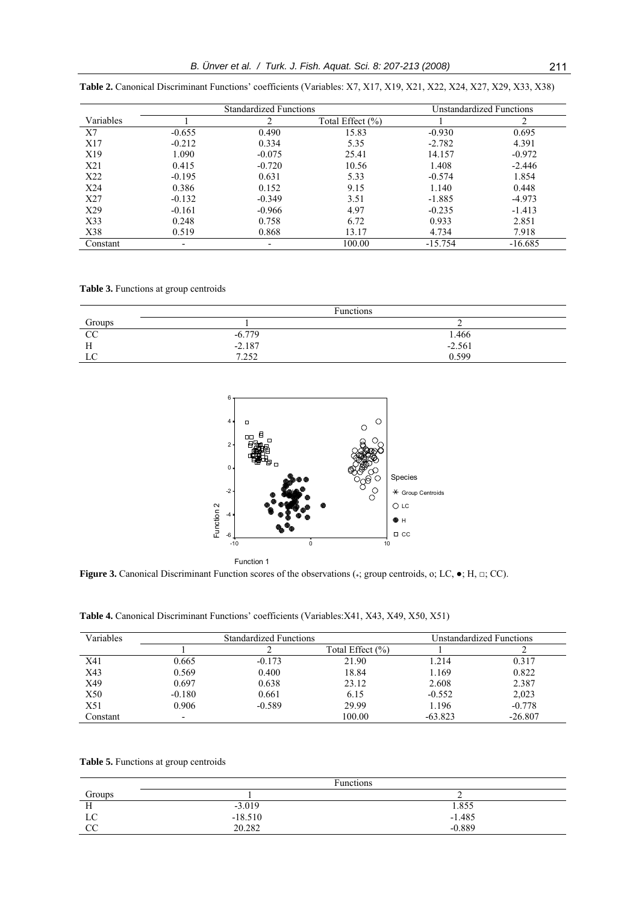|           | <b>Standardized Functions</b> |                          |                  |           | Unstandardized Functions |
|-----------|-------------------------------|--------------------------|------------------|-----------|--------------------------|
| Variables |                               | ↑                        | Total Effect (%) |           | 2                        |
| X7        | $-0.655$                      | 0.490                    | 15.83            | $-0.930$  | 0.695                    |
| X17       | $-0.212$                      | 0.334                    | 5.35             | $-2.782$  | 4.391                    |
| X19       | 1.090                         | $-0.075$                 | 25.41            | 14.157    | $-0.972$                 |
| X21       | 0.415                         | $-0.720$                 | 10.56            | 1.408     | $-2.446$                 |
| X22       | $-0.195$                      | 0.631                    | 5.33             | $-0.574$  | 1.854                    |
| X24       | 0.386                         | 0.152                    | 9.15             | 1.140     | 0.448                    |
| X27       | $-0.132$                      | $-0.349$                 | 3.51             | $-1.885$  | $-4.973$                 |
| X29       | $-0.161$                      | $-0.966$                 | 4.97             | $-0.235$  | $-1.413$                 |
| X33       | 0.248                         | 0.758                    | 6.72             | 0.933     | 2.851                    |
| X38       | 0.519                         | 0.868                    | 13.17            | 4.734     | 7.918                    |
| Constant  | $\overline{\phantom{0}}$      | $\overline{\phantom{0}}$ | 100.00           | $-15.754$ | $-16.685$                |

**Table 2.** Canonical Discriminant Functions' coefficients (Variables: X7, X17, X19, X21, X22, X24, X27, X29, X33, X38)

**Table 3.** Functions at group centroids

|                | <b>Functions</b> |          |  |
|----------------|------------------|----------|--|
| Groups<br>CC   |                  |          |  |
|                | $-6.779$         | 1.466    |  |
| <b>TT</b><br>п | $-2.187$         | $-2.561$ |  |
| LC             | 7.252            | 0.599    |  |



Function 1

Figure 3. Canonical Discriminant Function scores of the observations (\*; group centroids, o; LC,  $\bullet$ ; H, □; CC).

**Table 4.** Canonical Discriminant Functions' coefficients (Variables:X41, X43, X49, X50, X51)

| Variables | <b>Standardized Functions</b> |          |                  | <b>Unstandardized Functions</b> |           |  |
|-----------|-------------------------------|----------|------------------|---------------------------------|-----------|--|
|           |                               |          | Total Effect (%) |                                 |           |  |
| X41       | 0.665                         | $-0.173$ | 21.90            | 1.214                           | 0.317     |  |
| X43       | 0.569                         | 0.400    | 18.84            | 1.169                           | 0.822     |  |
| X49       | 0.697                         | 0.638    | 23.12            | 2.608                           | 2.387     |  |
| X50       | $-0.180$                      | 0.661    | 6.15             | $-0.552$                        | 2,023     |  |
| X51       | 0.906                         | $-0.589$ | 29.99            | 1.196                           | $-0.778$  |  |
| Constant  |                               |          | 100.00           | $-63.823$                       | $-26.807$ |  |

**Table 5.** Functions at group centroids

|                        | <b>Functions</b> |          |  |
|------------------------|------------------|----------|--|
| Groups                 |                  |          |  |
| -                      | $-3.019$         | 1.855    |  |
| LC                     | $-18.510$        | $-1.485$ |  |
| $\overline{\text{cc}}$ | 20.282           | $-0.889$ |  |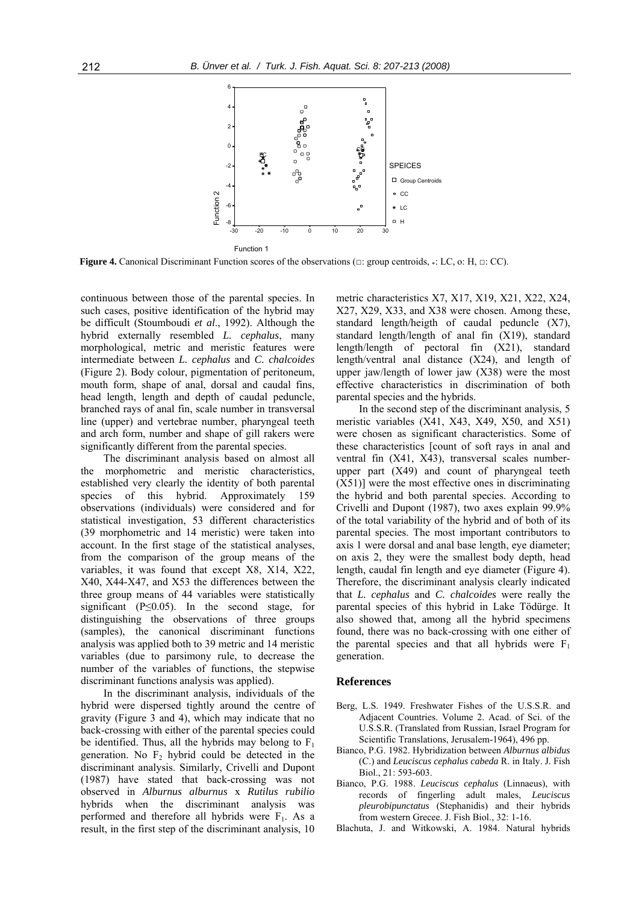

**Figure 4.** Canonical Discriminant Function scores of the observations ( $\Box$ : group centroids,  $\ast$ : LC, o: H,  $\Box$ : CC).

continuous between those of the parental species. In such cases, positive identification of the hybrid may be difficult (Stoumboudi *et al*., 1992). Although the hybrid externally resembled *L. cephalus*, many morphological, metric and meristic features were intermediate between *L. cephalus* and *C. chalcoides*  (Figure 2). Body colour, pigmentation of peritoneum, mouth form, shape of anal, dorsal and caudal fins, head length, length and depth of caudal peduncle, branched rays of anal fin, scale number in transversal line (upper) and vertebrae number, pharyngeal teeth and arch form, number and shape of gill rakers were significantly different from the parental species.

The discriminant analysis based on almost all the morphometric and meristic characteristics, established very clearly the identity of both parental species of this hybrid. Approximately 159 observations (individuals) were considered and for statistical investigation, 53 different characteristics (39 morphometric and 14 meristic) were taken into account. In the first stage of the statistical analyses, from the comparison of the group means of the variables, it was found that except X8, X14, X22, X40, X44-X47, and X53 the differences between the three group means of 44 variables were statistically significant ( $P \le 0.05$ ). In the second stage, for distinguishing the observations of three groups (samples), the canonical discriminant functions analysis was applied both to 39 metric and 14 meristic variables (due to parsimony rule, to decrease the number of the variables of functions, the stepwise discriminant functions analysis was applied).

In the discriminant analysis, individuals of the hybrid were dispersed tightly around the centre of gravity (Figure 3 and 4), which may indicate that no back-crossing with either of the parental species could be identified. Thus, all the hybrids may belong to  $F_1$ generation. No  $F_2$  hybrid could be detected in the discriminant analysis. Similarly, Crivelli and Dupont (1987) have stated that back-crossing was not observed in *Alburnus alburnus* x *Rutilus rubilio* hybrids when the discriminant analysis was performed and therefore all hybrids were  $F_1$ . As a result, in the first step of the discriminant analysis, 10

metric characteristics X7, X17, X19, X21, X22, X24, X27, X29, X33, and X38 were chosen. Among these, standard length/heigth of caudal peduncle (X7), standard length/length of anal fin (X19), standard length/length of pectoral fin (X21), standard length/ventral anal distance (X24), and length of upper jaw/length of lower jaw (X38) were the most effective characteristics in discrimination of both parental species and the hybrids.

In the second step of the discriminant analysis, 5 meristic variables (X41, X43, X49, X50, and X51) were chosen as significant characteristics. Some of these characteristics [count of soft rays in anal and ventral fin (X41, X43), transversal scales numberupper part (X49) and count of pharyngeal teeth (X51)] were the most effective ones in discriminating the hybrid and both parental species. According to Crivelli and Dupont (1987), two axes explain 99.9% of the total variability of the hybrid and of both of its parental species. The most important contributors to axis 1 were dorsal and anal base length, eye diameter; on axis 2, they were the smallest body depth, head length, caudal fin length and eye diameter (Figure 4). Therefore, the discriminant analysis clearly indicated that *L. cephalus* and *C. chalcoides* were really the parental species of this hybrid in Lake Tödürge. It also showed that, among all the hybrid specimens found, there was no back-crossing with one either of the parental species and that all hybrids were  $F_1$ generation.

#### **References**

- Berg, L.S. 1949. Freshwater Fishes of the U.S.S.R. and Adjacent Countries. Volume 2. Acad. of Sci. of the U.S.S.R. (Translated from Russian, Israel Program for Scientific Translations, Jerusalem-1964), 496 pp.
- Bianco, P.G. 1982. Hybridization between *Alburnus albidus* (C.) and *Leuciscus cephalus cabeda* R. in Italy. J. Fish Biol., 21: 593-603.
- Bianco, P.G. 1988. *Leuciscus cephalus* (Linnaeus), with records of fingerling adult males, *Leuciscus pleurobipunctatus* (Stephanidis) and their hybrids from western Grecee. J. Fish Biol., 32: 1-16.
- Blachuta, J. and Witkowski, A. 1984. Natural hybrids